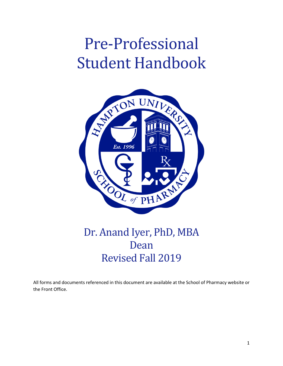# Pre-Professional Student Handbook



## Dr. Anand Iyer, PhD, MBA Dean Revised Fall 2019

All forms and documents referenced in this document are available at the School of Pharmacy website or the Front Office.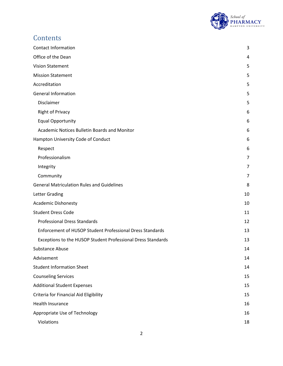

## **Contents**

| <b>Contact Information</b>                                   | 3  |
|--------------------------------------------------------------|----|
| Office of the Dean                                           | 4  |
| <b>Vision Statement</b>                                      | 5  |
| <b>Mission Statement</b>                                     | 5  |
| Accreditation                                                | 5  |
| <b>General Information</b>                                   | 5  |
| Disclaimer                                                   | 5  |
| <b>Right of Privacy</b>                                      | 6  |
| <b>Equal Opportunity</b>                                     | 6  |
| <b>Academic Notices Bulletin Boards and Monitor</b>          | 6  |
| Hampton University Code of Conduct                           | 6  |
| Respect                                                      | 6  |
| Professionalism                                              | 7  |
| Integrity                                                    | 7  |
| Community                                                    | 7  |
| <b>General Matriculation Rules and Guidelines</b>            | 8  |
| Letter Grading                                               | 10 |
| <b>Academic Dishonesty</b>                                   | 10 |
| <b>Student Dress Code</b>                                    | 11 |
| <b>Professional Dress Standards</b>                          | 12 |
| Enforcement of HUSOP Student Professional Dress Standards    | 13 |
| Exceptions to the HUSOP Student Professional Dress Standards | 13 |
| <b>Substance Abuse</b>                                       | 14 |
| Advisement                                                   | 14 |
| <b>Student Information Sheet</b>                             | 14 |
| <b>Counseling Services</b>                                   | 15 |
| <b>Additional Student Expenses</b>                           | 15 |
| Criteria for Financial Aid Eligibility                       | 15 |
| Health Insurance                                             | 16 |
| Appropriate Use of Technology                                | 16 |
| Violations                                                   | 18 |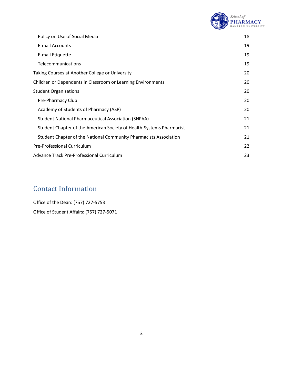

| Policy on Use of Social Media                                        | 18 |
|----------------------------------------------------------------------|----|
| <b>E-mail Accounts</b>                                               | 19 |
| E-mail Etiquette                                                     | 19 |
| Telecommunications                                                   | 19 |
| Taking Courses at Another College or University                      | 20 |
| Children or Dependents in Classroom or Learning Environments         | 20 |
| <b>Student Organizations</b>                                         | 20 |
| Pre-Pharmacy Club                                                    | 20 |
| Academy of Students of Pharmacy (ASP)                                | 20 |
| <b>Student National Pharmaceutical Association (SNPhA)</b>           | 21 |
| Student Chapter of the American Society of Health-Systems Pharmacist | 21 |
| Student Chapter of the National Community Pharmacists Association    | 21 |
| Pre-Professional Curriculum                                          | 22 |
| Advance Track Pre-Professional Curriculum                            | 23 |

## <span id="page-2-0"></span>Contact Information

Office of the Dean: (757) 727-5753 Office of Student Affairs: (757) 727-5071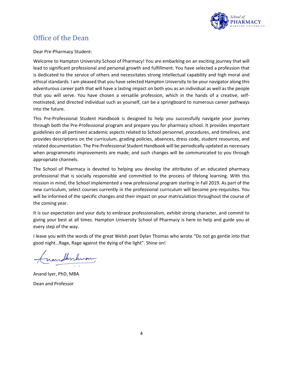

### <span id="page-3-0"></span>Office of the Dean

Dear Pre-Pharmacy Student:

Welcome to Hampton University School of Pharmacy! You are embarking on an exciting journey that will lead to significant professional and personal growth and fulfillment. You have selected a profession that is dedicated to the service of others and necessitates strong intellectual capability and high moral and ethical standards. I am pleased that you have selected Hampton University to be your navigator along this adventurous career path that will have a lasting impact on both you as an individual as well as the people that you will serve. You have chosen a versatile profession, which in the hands of a creative, selfmotivated, and directed individual such as yourself, can be a springboard to numerous career pathways into the future.

This Pre-Professional Student Handbook is designed to help you successfully navigate your journey through both the Pre-Professional program and prepare you for pharmacy school. It provides important guidelines on all pertinent academic aspects related to School personnel, procedures, and timelines, and provides descriptions on the curriculum, grading policies, absences, dress code, student resources, and related documentation. The Pre-Professional Student Handbook will be periodically updated as necessary when programmatic improvements are made, and such changes will be communicated to you through appropriate channels.

The School of Pharmacy is devoted to helping you develop the attributes of an educated pharmacy professional that is socially responsible and committed to the process of lifelong learning. With this mission in mind, the School implemented a new professional program starting in Fall 2019. As part of the new curriculum, select courses currently in the professional curriculum will become pre-requisites. You will be informed of the specific changes and their impact on your matriculation throughout the course of the coming year.

It is our expectation and your duty to embrace professionalism, exhibit strong character, and commit to giving your best at all times. Hampton University School of Pharmacy is here to help and guide you at every step of the way.

I leave you with the words of the great Welsh poet Dylan Thomas who wrote "Do not go gentle into that good night…Rage, Rage against the dying of the light". Shine on!

mathritium

Anand Iyer, PhD, MBA Dean and Professor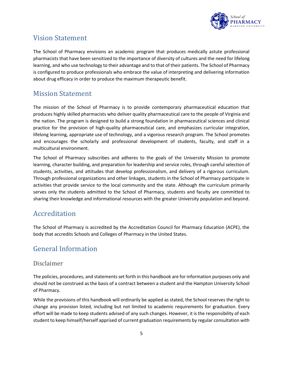

## <span id="page-4-0"></span>Vision Statement

The School of Pharmacy envisions an academic program that produces medically astute professional pharmacists that have been sensitized to the importance of diversity of cultures and the need for lifelong learning, and who use technology to their advantage and to that of their patients. The School of Pharmacy is configured to produce professionals who embrace the value of interpreting and delivering information about drug efficacy in order to produce the maximum therapeutic benefit.

## <span id="page-4-1"></span>Mission Statement

The mission of the School of Pharmacy is to provide contemporary pharmaceutical education that produces highly skilled pharmacists who deliver quality pharmaceutical care to the people of Virginia and the nation. The program is designed to build a strong foundation in pharmaceutical sciences and clinical practice for the provision of high-quality pharmaceutical care, and emphasizes curricular integration, lifelong learning, appropriate use of technology, and a vigorous research program. The School promotes and encourages the scholarly and professional development of students, faculty, and staff in a multicultural environment.

The School of Pharmacy subscribes and adheres to the goals of the University Mission to promote learning, character building, and preparation for leadership and service roles, through careful selection of students, activities, and attitudes that develop professionalism, and delivery of a rigorous curriculum. Through professional organizations and other linkages, students in the School of Pharmacy participate in activities that provide service to the local community and the state. Although the curriculum primarily serves only the students admitted to the School of Pharmacy, students and faculty are committed to sharing their knowledge and informational resources with the greater University population and beyond.

## <span id="page-4-2"></span>Accreditation

The School of Pharmacy is accredited by the Accreditation Council for Pharmacy Education (ACPE), the body that accredits Schools and Colleges of Pharmacy in the United States.

## <span id="page-4-3"></span>General Information

#### <span id="page-4-4"></span>Disclaimer

The policies, procedures, and statements set forth in this handbook are for information purposes only and should not be construed as the basis of a contract between a student and the Hampton University School of Pharmacy.

While the provisions of this handbook will ordinarily be applied as stated, the School reserves the right to change any provision listed, including but not limited to academic requirements for graduation. Every effort will be made to keep students advised of any such changes. However, it is the responsibility of each student to keep himself/herself apprised of current graduation requirements by regular consultation with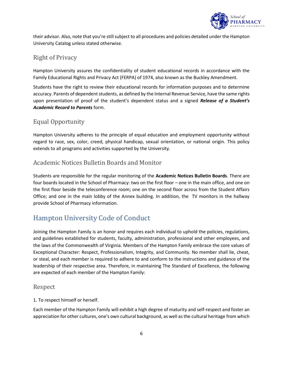

their advisor. Also, note that you're still subject to all procedures and policies detailed under the Hampton University Catalog unless stated otherwise.

#### <span id="page-5-0"></span>Right of Privacy

Hampton University assures the confidentiality of student educational records in accordance with the Family Educational Rights and Privacy Act (FERPA) of 1974, also known as the Buckley Amendment.

Students have the right to review their educational records for information purposes and to determine accuracy. Parents of dependent students, as defined by the Internal Revenue Service, have the same rights upon presentation of proof of the student's dependent status and a signed *Release of a Student's Academic Record to Parents* form.

#### <span id="page-5-1"></span>Equal Opportunity

Hampton University adheres to the principle of equal education and employment opportunity without regard to race, sex, color, creed, physical handicap, sexual orientation, or national origin. This policy extends to all programs and activities supported by the University.

#### <span id="page-5-2"></span>Academic Notices Bulletin Boards and Monitor

Students are responsible for the regular monitoring of the **Academic Notices Bulletin Boards**. There are four boards located in the School of Pharmacy: two on the first floor – one in the main office, and one on the first floor beside the teleconference room; one on the second floor across from the Student Affairs Office; and one in the main lobby of the Annex building. In addition, the TV monitors in the hallway provide School of Pharmacy information.

## <span id="page-5-3"></span>Hampton University Code of Conduct

Joining the Hampton Family is an honor and requires each individual to uphold the policies, regulations, and guidelines established for students, faculty, administration, professional and other employees, and the laws of the Commonwealth of Virginia. Members of the Hampton Family embrace the core values of Exceptional Character: Respect, Professionalism, Integrity, and Community. No member shall lie, cheat, or steal, and each member is required to adhere to and conform to the instructions and guidance of the leadership of their respective area. Therefore, in maintaining The Standard of Excellence, the following are expected of each member of the Hampton Family:

#### <span id="page-5-4"></span>Respect

1. To respect himself or herself.

Each member of the Hampton Family will exhibit a high degree of maturity and self-respect and foster an appreciation for other cultures, one's own cultural background, as well as the cultural heritage from which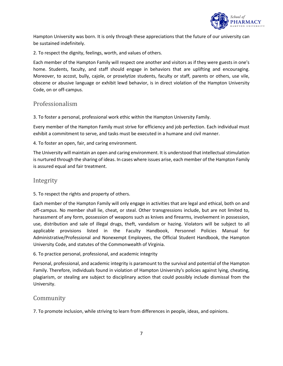

Hampton University was born. It is only through these appreciations that the future of our university can be sustained indefinitely.

2. To respect the dignity, feelings, worth, and values of others.

Each member of the Hampton Family will respect one another and visitors as if they were guests in one's home. Students, faculty, and staff should engage in behaviors that are uplifting and encouraging. Moreover, to accost, bully, cajole, or proselytize students, faculty or staff, parents or others, use vile, obscene or abusive language or exhibit lewd behavior, is in direct violation of the Hampton University Code, on or off-campus.

#### <span id="page-6-0"></span>Professionalism

3. To foster a personal, professional work ethic within the Hampton University Family.

Every member of the Hampton Family must strive for efficiency and job perfection. Each individual must exhibit a commitment to serve, and tasks must be executed in a humane and civil manner.

4. To foster an open, fair, and caring environment.

The University will maintain an open and caring environment. It is understood that intellectual stimulation is nurtured through the sharing of ideas. In cases where issues arise, each member of the Hampton Family is assured equal and fair treatment.

#### <span id="page-6-1"></span>Integrity

5. To respect the rights and property of others.

Each member of the Hampton Family will only engage in activities that are legal and ethical, both on and off-campus. No member shall lie, cheat, or steal. Other transgressions include, but are not limited to, harassment of any form, possession of weapons such as knives and firearms, involvement in possession, use, distribution and sale of illegal drugs, theft, vandalism or hazing. Violators will be subject to all applicable provisions listed in the Faculty Handbook, Personnel Policies Manual for Administrative/Professional and Nonexempt Employees, the Official Student Handbook, the Hampton University Code, and statutes of the Commonwealth of Virginia.

6. To practice personal, professional, and academic integrity

Personal, professional, and academic integrity is paramount to the survival and potential of the Hampton Family. Therefore, individuals found in violation of Hampton University's policies against lying, cheating, plagiarism, or stealing are subject to disciplinary action that could possibly include dismissal from the University.

#### <span id="page-6-2"></span>Community

7. To promote inclusion, while striving to learn from differences in people, ideas, and opinions.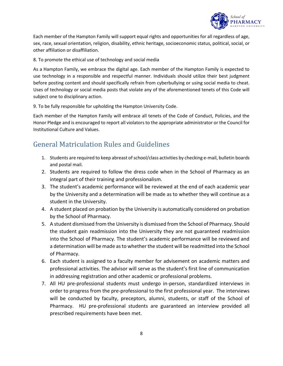

Each member of the Hampton Family will support equal rights and opportunities for all regardless of age, sex, race, sexual orientation, religion, disability, ethnic heritage, socioeconomic status, political, social, or other affiliation or disaffiliation.

8. To promote the ethical use of technology and social media

As a Hampton Family, we embrace the digital age. Each member of the Hampton Family is expected to use technology in a responsible and respectful manner. Individuals should utilize their best judgment before posting content and should specifically refrain from cyberbullying or using social media to cheat. Uses of technology or social media posts that violate any of the aforementioned tenets of this Code will subject one to disciplinary action.

9. To be fully responsible for upholding the Hampton University Code.

Each member of the Hampton Family will embrace all tenets of the Code of Conduct, Policies, and the Honor Pledge and is encouraged to report all violators to the appropriate administrator or the Council for Institutional Culture and Values.

## <span id="page-7-0"></span>General Matriculation Rules and Guidelines

- 1. Students are required to keep abreast of school/class activities by checking e-mail, bulletin boards and postal mail.
- 2. Students are required to follow the dress code when in the School of Pharmacy as an integral part of their training and professionalism.
- 3. The student's academic performance will be reviewed at the end of each academic year by the University and a determination will be made as to whether they will continue as a student in the University.
- 4. A student placed on probation by the University is automatically considered on probation by the School of Pharmacy.
- 5. A student dismissed from the University is dismissed from the School of Pharmacy. Should the student gain readmission into the University they are not guaranteed readmission into the School of Pharmacy. The student's academic performance will be reviewed and a determination will be made as to whether the student will be readmitted into the School of Pharmacy.
- 6. Each student is assigned to a faculty member for advisement on academic matters and professional activities. The advisor will serve as the student's first line of communication in addressing registration and other academic or professional problems.
- 7. All HU pre-professional students must undergo in-person, standardized interviews in order to progress from the pre-professional to the first professional year. The interviews will be conducted by faculty, preceptors, alumni, students, or staff of the School of Pharmacy. HU pre-professional students are guaranteed an interview provided all prescribed requirements have been met.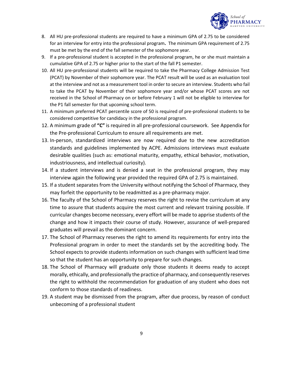

- 8. All HU pre-professional students are required to have a minimum GPA of 2.75 to be considered for an interview for entry into the professional program**.** The minimum GPA requirement of 2.75 must be met by the end of the fall semester of the sophomore year.
- 9. If a pre-professional student is accepted in the professional program, he or she must maintain a cumulative GPA of 2.75 or higher prior to the start of the fall P1 semester.
- 10. All HU pre-professional students will be required to take the Pharmacy College Admission Test (PCAT) by November of their sophomore year. The PCAT result will be used as an evaluation tool at the interview and not as a measurement tool in order to secure an interview. Students who fail to take the PCAT by November of their sophomore year and/or whose PCAT scores are not received in the School of Pharmacy on or before February 1 will not be eligible to interview for the P1 fall semester for that upcoming school term.
- 11. A minimum preferred PCAT percentile score of 50 is required of pre-professional students to be considered competitive for candidacy in the professional program.
- 12. A minimum grade of **"C"** is required in all pre-professional coursework. See Appendix for the Pre-professional Curriculum to ensure all requirements are met.
- 13. In-person, standardized interviews are now required due to the new accreditation standards and guidelines implemented by ACPE. Admissions interviews must evaluate desirable qualities (such as: emotional maturity, empathy, ethical behavior, motivation, industriousness, and intellectual curiosity).
- 14. If a student interviews and is denied a seat in the professional program, they may interview again the following year provided the required GPA of 2.75 is maintained.
- 15. If a student separates from the University without notifying the School of Pharmacy, they may forfeit the opportunity to be readmitted as a pre-pharmacy major.
- 16. The faculty of the School of Pharmacy reserves the right to revise the curriculum at any time to assure that students acquire the most current and relevant training possible. If curricular changes become necessary, every effort will be made to apprise students of the change and how it impacts their course of study. However, assurance of well-prepared graduates will prevail as the dominant concern.
- 17. The School of Pharmacy reserves the right to amend its requirements for entry into the Professional program in order to meet the standards set by the accrediting body. The School expects to provide students information on such changes with sufficient lead time so that the student has an opportunity to prepare for such changes.
- 18. The School of Pharmacy will graduate only those students it deems ready to accept morally, ethically, and professionally the practice of pharmacy, and consequently reserves the right to withhold the recommendation for graduation of any student who does not conform to those standards of readiness.
- 19. A student may be dismissed from the program, after due process, by reason of conduct unbecoming of a professional student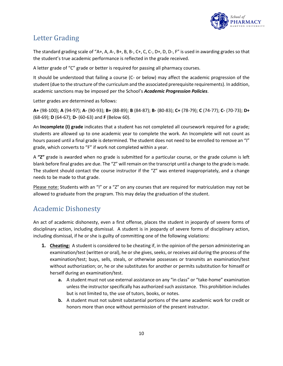

## <span id="page-9-0"></span>Letter Grading

The standard grading scale of "A+, A, A-, B+, B, B-, C+, C, C-, D+, D, D-, F" is used in awarding grades so that the student's true academic performance is reflected in the grade received.

A letter grade of "C" grade or better is required for passing all pharmacy courses.

It should be understood that failing a course (C- or below) may affect the academic progression of the student (due to the structure of the curriculum and the associated prerequisite requirements). In addition, academic sanctions may be imposed per the School's *Academic Progression Policies*.

Letter grades are determined as follows:

**A+** (98-100); **A** (94-97); **A-** (90-93); **B+** (88-89); **B** (84-87); **B-** (80-83); **C+** (78-79); **C** (74-77); **C-** (70-73); **D+**  (68-69); **D** (64-67); **D-** (60-63) and **F** (Below 60).

An **Incomplete (I) grade** indicates that a student has not completed all coursework required for a grade; students are allowed up to one academic year to complete the work. An Incomplete will not count as hours passed until a final grade is determined. The student does not need to be enrolled to remove an "I" grade, which converts to "F" if work not completed within a year.

A **"Z"** grade is awarded when no grade is submitted for a particular course, or the grade column is left blank before final grades are due. The "Z" will remain on the transcript until a change to the grade is made. The student should contact the course instructor if the "Z" was entered inappropriately, and a change needs to be made to that grade.

Please note: Students with an "I" or a "Z" on any courses that are required for matriculation may not be allowed to graduate from the program. This may delay the graduation of the student.

## <span id="page-9-1"></span>Academic Dishonesty

An act of academic dishonesty, even a first offense, places the student in jeopardy of severe forms of disciplinary action, including dismissal. A student is in jeopardy of severe forms of disciplinary action, including dismissal, if he or she is guilty of committing one of the following violations:

- **1. Cheating:** A student is considered to be cheating if, in the opinion of the person administering an examination/test (written or oral), he or she gives, seeks, or receives aid during the process of the examination/test; buys, sells, steals, or otherwise possesses or transmits an examination/test without authorization; or, he or she substitutes for another or permits substitution for himself or herself during an examination/test.
	- **a.** A student must not use external assistance on any "in class" or "take-home" examination unless the instructor specifically has authorized such assistance. This prohibition includes but is not limited to, the use of tutors, books, or notes.
	- **b.** A student must not submit substantial portions of the same academic work for credit or honors more than once without permission of the present instructor.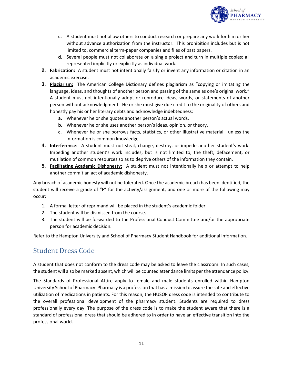

- **c.** A student must not allow others to conduct research or prepare any work for him or her without advance authorization from the instructor. This prohibition includes but is not limited to, commercial term-paper companies and files of past papers.
- **d.** Several people must not collaborate on a single project and turn in multiple copies; all represented implicitly or explicitly as individual work.
- **2. Fabrication:** A student must not intentionally falsify or invent any information or citation in an academic exercise.
- **3. Plagiarism:** The American College Dictionary defines plagiarism as "copying or imitating the language, ideas, and thoughts of another person and passing of the same as one's original work." A student must not intentionally adopt or reproduce ideas, words, or statements of another person without acknowledgment. He or she must give due credit to the originality of others and honestly pay his or her literary debts and acknowledge indebtedness:
	- **a.** Whenever he or she quotes another person's actual words.
	- **b.** Whenever he or she uses another person's ideas, opinion, or theory.
	- **c.** Whenever he or she borrows facts, statistics, or other illustrative material—unless the information is common knowledge.
- **4. Interference:** A student must not steal, change, destroy, or impede another student's work. Impeding another student's work includes, but is not limited to, the theft, defacement, or mutilation of common resources so as to deprive others of the information they contain.
- **5. Facilitating Academic Dishonesty:** A student must not intentionally help or attempt to help another commit an act of academic dishonesty.

Any breach of academic honesty will not be tolerated. Once the academic breach has been identified, the student will receive a grade of "F" for the activity/assignment, and one or more of the following may occur:

- 1. A formal letter of reprimand will be placed in the student's academic folder.
- 2. The student will be dismissed from the course.
- 3. The student will be forwarded to the Professional Conduct Committee and/or the appropriate person for academic decision.

Refer to the Hampton University and School of Pharmacy Student Handbook for additional information.

## <span id="page-10-0"></span>Student Dress Code

A student that does not conform to the dress code may be asked to leave the classroom. In such cases, the student will also be marked absent, which will be counted attendance limits per the attendance policy.

The Standards of Professional Attire apply to female and male students enrolled within Hampton University School of Pharmacy. Pharmacy is a profession that has a mission to assure the safe and effective utilization of medications in patients. For this reason, the HUSOP dress code is intended to contribute to the overall professional development of the pharmacy student. Students are required to dress professionally every day. The purpose of the dress code is to make the student aware that there is a standard of professional dress that should be adhered to in order to have an effective transition into the professional world.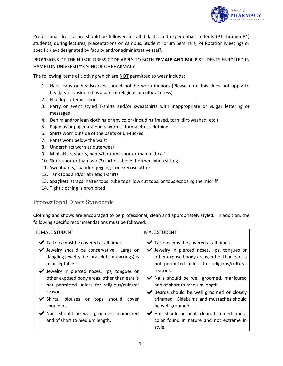

Professional dress attire should be followed for all didactic and experiential students (P1 through P4) students, during lectures, presentations on campus, Student Forum Seminars, P4 Rotation Meetings or specific days designated by faculty and/or administrative staff.

PROVISIONS OF THE HUSOP DRESS CODE APPLY TO BOTH **FEMALE AND MALE** STUDENTS ENROLLED IN HAMPTON UNIVERSITY'S SCHOOL OF PHARMACY

The following items of clothing which are NOT permitted to wear include:

- 1. Hats, caps or headscarves should not be worn indoors (Please note this does not apply to headgear considered as a part of religious or cultural dress)
- 2. Flip flops / tennis shoes
- 3. Party or event styled T-shirts and/or sweatshirts with inappropriate or vulgar lettering or messages
- 4. Denim and/or jean clothing of any color (including frayed, torn, dirt-washed, etc.)
- 5. Pajamas or pajama slippers worn as formal dress clothing
- 6. Shirts worn outside of the pants or un-tucked
- 7. Pants worn below the waist
- 8. Undershirts worn as outerwear
- 9. Mini-skirts, shorts, pants/bottoms shorter than mid-calf
- 10. Skirts shorter than two (2) inches above the knee when sitting
- 11. Sweatpants, spandex, jeggings, or exercise attire
- 12. Tank tops and/or athletic T-shirts
- 13. Spaghetti straps, halter tops, tube tops, low cut tops, or tops exposing the midriff
- 14. Tight clothing is prohibited

#### <span id="page-11-0"></span>Professional Dress Standards

Clothing and shows are encouraged to be professional, clean and appropriately styled. In addition, the following specific recommendations must be followed:

| <b>FEMALE STUDENT</b>                                                                                                               | <b>MALE STUDENT</b>                                                                                                                         |
|-------------------------------------------------------------------------------------------------------------------------------------|---------------------------------------------------------------------------------------------------------------------------------------------|
| $\blacktriangleright$ Tattoos must be covered at all times.                                                                         | $\blacktriangleright$ Tattoos must be covered at all times.                                                                                 |
| $\blacktriangleright$ Jewelry should be conservative. Large or<br>dangling jewelry (i.e. bracelets or earrings) is<br>unacceptable. | ◆ Jewelry in pierced noses, lips, tongues or<br>other exposed body areas, other than ears is<br>not permitted unless for religious/cultural |
| V Jewelry in pierced noses, lips, tongues or                                                                                        | reasons.                                                                                                                                    |
| other exposed body areas, other than ears is<br>not permitted unless for religious/cultural                                         | ◆ Nails should be well groomed, manicured<br>and of short to medium length.                                                                 |
| reasons.                                                                                                                            | ◆ Beards should be well groomed or closely                                                                                                  |
| $\blacktriangleright$ Shirts, blouses<br>should<br>tops<br>or<br>cover<br>shoulders.                                                | trimmed. Sideburns and mustaches should<br>be well groomed.                                                                                 |
| ◆ Nails should be well groomed, manicured<br>and of short to medium length.                                                         | Hair should be neat, clean, trimmed, and a<br>color found in nature and not extreme in<br>style.                                            |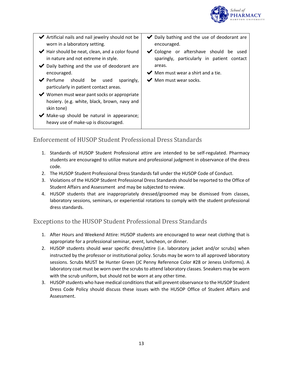

| ◆ Artificial nails and nail jewelry should not be<br>worn in a laboratory setting.                                                                                        | ◆ Daily bathing and the use of deodorant are<br>encouraged.                                                                                              |
|---------------------------------------------------------------------------------------------------------------------------------------------------------------------------|----------------------------------------------------------------------------------------------------------------------------------------------------------|
| $\blacktriangleright$ Hair should be neat, clean, and a color found<br>in nature and not extreme in style.<br>◆ Daily bathing and the use of deodorant are<br>encouraged. | ◆ Cologne or aftershave should be used<br>sparingly, particularly in patient contact<br>areas.<br>$\blacktriangleright$ Men must wear a shirt and a tie. |
| $\blacktriangleright$ Perfume should be<br>used<br>sparingly,<br>particularly in patient contact areas.                                                                   | $\blacktriangleright$ Men must wear socks.                                                                                                               |
| ◆ Women must wear pant socks or appropriate<br>hosiery. (e.g. white, black, brown, navy and<br>skin tone)                                                                 |                                                                                                                                                          |
| $\blacktriangleright$ Make-up should be natural in appearance;<br>heavy use of make-up is discouraged.                                                                    |                                                                                                                                                          |

#### <span id="page-12-0"></span>Enforcement of HUSOP Student Professional Dress Standards

- 1. Standards of HUSOP Student Professional attire are intended to be self-regulated. Pharmacy students are encouraged to utilize mature and professional judgment in observance of the dress code.
- 2. The HUSOP Student Professional Dress Standards fall under the HUSOP Code of Conduct.
- 3. Violations of the HUSOP Student Professional Dress Standards should be reported to the Office of Student Affairs and Assessment and may be subjected to review.
- 4. HUSOP students that are inappropriately dressed/groomed may be dismissed from classes, laboratory sessions, seminars, or experiential rotations to comply with the student professional dress standards.

#### <span id="page-12-1"></span>Exceptions to the HUSOP Student Professional Dress Standards

- 1. After Hours and Weekend Attire: HUSOP students are encouraged to wear neat clothing that is appropriate for a professional seminar, event, luncheon, or dinner.
- 2. HUSOP students should wear specific dress/attire (i.e. laboratory jacket and/or scrubs) when instructed by the professor or institutional policy. Scrubs may be worn to all approved laboratory sessions. Scrubs MUST be Hunter Green (JC Penny Reference Color #28 or Jeness Uniforms). A laboratory coat must be worn over the scrubs to attend laboratory classes. Sneakers may be worn with the scrub uniform, but should not be worn at any other time.
- 3. HUSOP students who have medical conditions that will prevent observance to the HUSOP Student Dress Code Policy should discuss these issues with the HUSOP Office of Student Affairs and Assessment.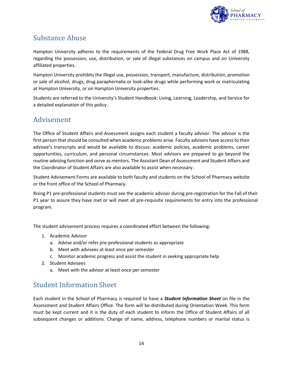

## <span id="page-13-0"></span>Substance Abuse

Hampton University adheres to the requirements of the Federal Drug Free Work Place Act of 1988, regarding the possession, use, distribution, or sale of illegal substances on campus and on University affiliated properties.

Hampton University prohibits the illegal use, possession, transport, manufacture, distribution, promotion or sale of alcohol, drugs, drug paraphernalia or look-alike drugs while performing work or matriculating at Hampton University, or on Hampton University properties.

Students are referred to the University's Student Handbook: Living, Learning, Leadership, and Service for a detailed explanation of this policy.

## <span id="page-13-1"></span>Advisement

The Office of Student Affairs and Assessment assigns each student a faculty advisor. The advisor is the first person that should be consulted when academic problems arise. Faculty advisors have access to their advisee's transcripts and would be available to discuss: academic policies, academic problems, career opportunities, curriculum, and personal circumstances. Most advisors are prepared to go beyond the routine advising function and serve as mentors. The Assistant Dean of Assessment and Student Affairs and the Coordinator of Student Affairs are also available to assist when necessary.

Student Advisement Forms are available to both faculty and students on the School of Pharmacy website or the front office of the School of Pharmacy.

Rising P1 pre-professional students must see the academic advisor during pre-registration for the Fall of their P1 year to assure they have met or will meet all pre-requisite requirements for entry into the professional program.

The student advisement process requires a coordinated effort between the following:

- 1. Academic Advisor
	- a. Advise and/or refer pre-professional students as appropriate
	- b. Meet with advisees at least once per semester
	- c. Monitor academic progress and assist the student in seeking appropriate help
- 2. Student Advisees
	- a. Meet with the advisor at least once per semester

#### <span id="page-13-2"></span>Student Information Sheet

Each student in the School of Pharmacy is required to have a *Student Information Sheet* on file in the Assessment and Student Affairs Office. The form will be distributed during Orientation Week. This form must be kept current and it is the duty of each student to inform the Office of Student Affairs of all subsequent changes or additions. Change of name, address, telephone numbers or marital status is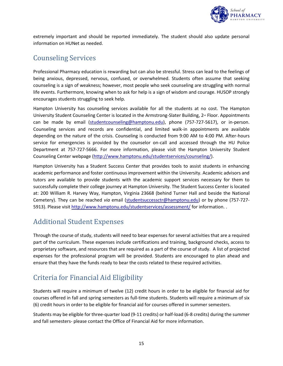

extremely important and should be reported immediately. The student should also update personal information on HUNet as needed.

## <span id="page-14-0"></span>Counseling Services

Professional Pharmacy education is rewarding but can also be stressful. Stress can lead to the feelings of being anxious, depressed, nervous, confused, or overwhelmed. Students often assume that seeking counseling is a sign of weakness; however, most people who seek counseling are struggling with normal life events. Furthermore, knowing when to ask for help is a sign of wisdom and courage. HUSOP strongly encourages students struggling to seek help.

Hampton University has counseling services available for all the students at no cost. The Hampton University Student Counseling Center is located in the Armstrong-Slater Building,  $2<sup>nd</sup>$  Floor. Appointments can be made by email [\(studentcounseling@hamptonu.edu\)](mailto:studentcounseling@hamptonu.edu), phone (757-727-5617), or in-person. Counseling services and records are confidential, and limited walk-in appointments are available depending on the nature of the crisis. Counseling is conducted from 9:00 AM to 4:00 PM. After-hours service for emergencies is provided by the counselor on-call and accessed through the HU Police Department at 757-727-5666. For more information, please visit the Hampton University Student Counseling Center webpage [\(http://www.hamptonu.edu/studentservices/counseling/\)](http://www.hamptonu.edu/studentservices/counseling/).

Hampton University has a Student Success Center that provides tools to assist students in enhancing academic performance and foster continuous improvement within the University. Academic advisors and tutors are available to provide students with the academic support services necessary for them to successfully complete their college journey at Hampton University. The Student Success Center is located at: 200 William R. Harvey Way, Hampton, Virginia 23668 (behind Turner Hall and beside the National Cemetery). They can be reached *via* email [\(studentsuccessctr@hamptonu.edu\)](mailto:studentsuccessctr@hamptonu.edu) or by phone (757-727- 5913). Please visi[t http://www.hamptonu.edu/studentservices/assessment/](http://www.hamptonu.edu/studentservices/assessment/) for information. .

## <span id="page-14-1"></span>Additional Student Expenses

Through the course of study, students will need to bear expenses for several activities that are a required part of the curriculum. These expenses include certifications and training, background checks, access to proprietary software, and resources that are required as a part of the course of study. A list of projected expenses for the professional program will be provided. Students are encouraged to plan ahead and ensure that they have the funds ready to bear the costs related to these required activities.

## <span id="page-14-2"></span>Criteria for Financial Aid Eligibility

Students will require a minimum of twelve (12) credit hours in order to be eligible for financial aid for courses offered in fall and spring semesters as full-time students. Students will require a minimum of six (6) credit hours in order to be eligible for financial aid for courses offered in summer semesters.

Students may be eligible for three-quarter load (9-11 credits) or half-load (6-8 credits) during the summer and fall semesters- please contact the Office of Financial Aid for more information.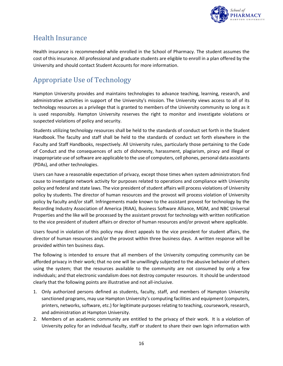

## <span id="page-15-0"></span>Health Insurance

Health insurance is recommended while enrolled in the School of Pharmacy. The student assumes the cost of this insurance. All professional and graduate students are eligible to enroll in a plan offered by the University and should contact Student Accounts for more information.

## <span id="page-15-1"></span>Appropriate Use of Technology

Hampton University provides and maintains technologies to advance teaching, learning, research, and administrative activities in support of the University's mission. The University views access to all of its technology resources as a privilege that is granted to members of the University community so long as it is used responsibly. Hampton University reserves the right to monitor and investigate violations or suspected violations of policy and security.

Students utilizing technology resources shall be held to the standards of conduct set forth in the Student Handbook. The faculty and staff shall be held to the standards of conduct set forth elsewhere in the Faculty and Staff Handbooks, respectively. All University rules, particularly those pertaining to the Code of Conduct and the consequences of acts of dishonesty, harassment, plagiarism, piracy and illegal or inappropriate use of software are applicable to the use of computers, cell phones, personal data assistants (PDAs), and other technologies.

Users can have a reasonable expectation of privacy, except those times when system administrators find cause to investigate network activity for purposes related to operations and compliance with University policy and federal and state laws. The vice president of student affairs will process violations of University policy by students. The director of human resources and the provost will process violation of University policy by faculty and/or staff. Infringements made known to the assistant provost for technology by the Recording Industry Association of America (RIAA), Business Software Alliance, MGM, and NBC Universal Properties and the like will be processed by the assistant provost for technology with written notification to the vice president of student affairs or director of human resources and/or provost where applicable.

Users found in violation of this policy may direct appeals to the vice president for student affairs, the director of human resources and/or the provost within three business days. A written response will be provided within ten business days.

The following is intended to ensure that all members of the University computing community can be afforded privacy in their work; that no one will be unwillingly subjected to the abusive behavior of others using the system; that the resources available to the community are not consumed by only a few individuals; and that electronic vandalism does not destroy computer resources. It should be understood clearly that the following points are illustrative and not all-inclusive.

- 1. Only authorized persons defined as students, faculty, staff, and members of Hampton University sanctioned programs, may use Hampton University's computing facilities and equipment (computers, printers, networks, software, etc.) for legitimate purposes relating to teaching, coursework, research, and administration at Hampton University.
- 2. Members of an academic community are entitled to the privacy of their work. It is a violation of University policy for an individual faculty, staff or student to share their own login information with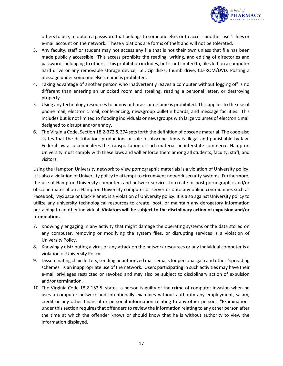

others to use, to obtain a password that belongs to someone else, or to access another user's files or e-mail account on the network. These violations are forms of theft and will not be tolerated.

- 3. Any faculty, staff or student may not access any file that is not their own unless that file has been made publicly accessible. This access prohibits the reading, writing, and editing of directories and passwords belonging to others. This prohibition includes, but is not limited to, files left on a computer hard drive or any removable storage device, i.e., zip disks, thumb drive, CD-ROM/DVD. Posting a message under someone else's name is prohibited.
- 4. Taking advantage of another person who inadvertently leaves a computer without logging off is no different than entering an unlocked room and stealing, reading a personal letter, or destroying property.
- 5. Using any technology resources to annoy or harass or defame is prohibited. This applies to the use of phone mail, electronic mail, conferencing, newsgroup bulletin boards, and message facilities. This includes but is not limited to flooding individuals or newsgroups with large volumes of electronic mail designed to disrupt and/or annoy.
- 6. The Virginia Code, Section 18.2-372 & 374 sets forth the definition of obscene material. The code also states that the distribution, production, or sale of obscene items is illegal and punishable by law. Federal law also criminalizes the transportation of such materials in interstate commerce. Hampton University must comply with these laws and will enforce them among all students, faculty, staff, and visitors.

Using the Hampton University network to view pornographic materials is a violation of University policy. It is also a violation of University policy to attempt to circumvent network security systems. Furthermore, the use of Hampton University computers and network services to create or post pornographic and/or obscene material on a Hampton University computer or server or onto any online communities such as FaceBook, MySpace or Black Planet, is a violation of University policy. It is also against University policy to utilize any university technological resources to create, post, or maintain any derogatory information pertaining to another individual. **Violators will be subject to the disciplinary action of expulsion and/or termination.**

- 7. Knowingly engaging in any activity that might damage the operating systems or the data stored on any computer, removing or modifying the system files, or disrupting services is a violation of University Policy.
- 8. Knowingly distributing a virus or any attack on the network resources or any individual computer is a violation of University Policy.
- 9. Disseminating chain letters, sending unauthorized mass emails for personal gain and other "spreading schemes" is an inappropriate use of the network. Users participating in such activities may have their e-mail privileges restricted or revoked and may also be subject to disciplinary action of expulsion and/or termination.
- 10. The Virginia Code 18.2-152.5, states, a person is guilty of the crime of computer invasion when he uses a computer network and intentionally examines without authority any employment, salary, credit or any other financial or personal information relating to any other person. "Examination" under this section requires that offenders to review the information relating to any other person after the time at which the offender knows or should know that he is without authority to view the information displayed.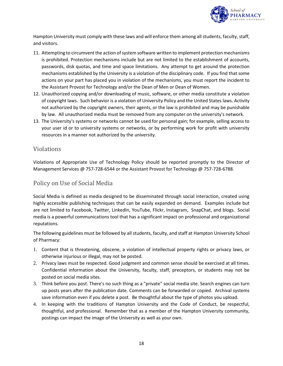

Hampton University must comply with these laws and will enforce them among all students, faculty, staff, and visitors.

- 11. Attempting to circumvent the action of system software written to implement protection mechanisms is prohibited. Protection mechanisms include but are not limited to the establishment of accounts, passwords, disk quotas, and time and space limitations. Any attempt to get around the protection mechanisms established by the University is a violation of the disciplinary code. If you find that some actions on your part has placed you in violation of the mechanisms, you must report the incident to the Assistant Provost for Technology and/or the Dean of Men or Dean of Women.
- 12. Unauthorized copying and/or downloading of music, software, or other media constitute a violation of copyright laws. Such behavior is a violation of University Policy and the United States laws. Activity not authorized by the copyright owners, their agents, or the law is prohibited and may be punishable by law. All unauthorized media must be removed from any computer on the university's network.
- 13. The University's systems or networks cannot be used for personal gain; for example, selling access to your user id or to university systems or networks, or by performing work for profit with university resources in a manner not authorized by the university.

#### <span id="page-17-0"></span>Violations

Violations of Appropriate Use of Technology Policy should be reported promptly to the Director of Management Services @ 757-728-6544 or the Assistant Provost for Technology @ 757-728-6788.

#### <span id="page-17-1"></span>Policy on Use of Social Media

Social Media is defined as media designed to be disseminated through social interaction, created using highly accessible publishing techniques that can be easily expanded on demand. Examples include but are not limited to Facebook, Twitter, LinkedIn, YouTube, Flickr, Instagram, SnapChat, and blogs. Social media is a powerful communications tool that has a significant impact on professional and organizational reputations.

The following guidelines must be followed by all students, faculty, and staff at Hampton University School of Pharmacy:

- 1. Content that is threatening, obscene, a violation of intellectual property rights or privacy laws, or otherwise injurious or illegal, may not be posted.
- 2. Privacy laws must be respected. Good judgment and common sense should be exercised at all times. Confidential information about the University, faculty, staff, preceptors, or students may not be posted on social media sites.
- 3. Think before you post. There's no such thing as a "private" social media site. Search engines can turn up posts years after the publication date. Comments can be forwarded or copied. Archival systems save information even if you delete a post. Be thoughtful about the type of photos you upload.
- 4. In keeping with the traditions of Hampton University and the Code of Conduct, be respectful, thoughtful, and professional. Remember that as a member of the Hampton University community, postings can impact the image of the University as well as your own.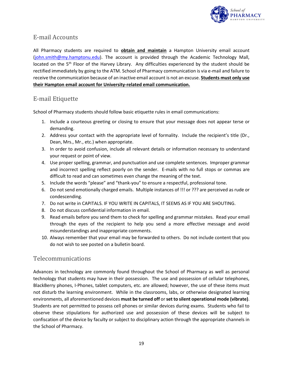

#### <span id="page-18-0"></span>E-mail Accounts

All Pharmacy students are required to **obtain and maintain** a Hampton University email account [\(john.smith@my.hamptonu.edu\)](mailto:john.smith@my.hamptonu.edu). The account is provided through the Academic Technology Mall, located on the 5<sup>th</sup> Floor of the Harvey Library. Any difficulties experienced by the student should be rectified immediately by going to the ATM. School of Pharmacy communication is via e-mail and failure to receive the communication because of an inactive email account is not an excuse. **Students must only use their Hampton email account for University-related email communication.**

#### <span id="page-18-1"></span>E-mail Etiquette

School of Pharmacy students should follow basic etiquette rules in email communications:

- 1. Include a courteous greeting or closing to ensure that your message does not appear terse or demanding.
- 2. Address your contact with the appropriate level of formality. Include the recipient's title (Dr., Dean, Mrs., Mr., etc.) when appropriate.
- 3. In order to avoid confusion, include all relevant details or information necessary to understand your request or point of view.
- 4. Use proper spelling, grammar, and punctuation and use complete sentences. Improper grammar and incorrect spelling reflect poorly on the sender. E-mails with no full stops or commas are difficult to read and can sometimes even change the meaning of the text.
- 5. Include the words "please" and "thank-you" to ensure a respectful, professional tone.
- 6. Do not send emotionally charged emails. Multiple instances of !!! or ??? are perceived as rude or condescending.
- 7. Do not write in CAPITALS. IF YOU WRITE IN CAPITALS, IT SEEMS AS IF YOU ARE SHOUTING.
- 8. Do not discuss confidential information in email.
- 9. Read emails before you send them to check for spelling and grammar mistakes. Read your email through the eyes of the recipient to help you send a more effective message and avoid misunderstandings and inappropriate comments.
- 10. Always remember that your email may be forwarded to others. Do not include content that you do not wish to see posted on a bulletin board.

#### <span id="page-18-2"></span>Telecommunications

Advances in technology are commonly found throughout the School of Pharmacy as well as personal technology that students may have in their possession. The use and possession of cellular telephones, BlackBerry phones, I-Phones, tablet computers, etc. are allowed; however, the use of these items must not disturb the learning environment. While in the classrooms, labs, or otherwise designated learning environments, all aforementioned devices **must be turned off** or **set to silent operational mode (vibrate)**. Students are not permitted to possess cell phones or similar devices during exams. Students who fail to observe these stipulations for authorized use and possession of these devices will be subject to confiscation of the device by faculty or subject to disciplinary action through the appropriate channels in the School of Pharmacy.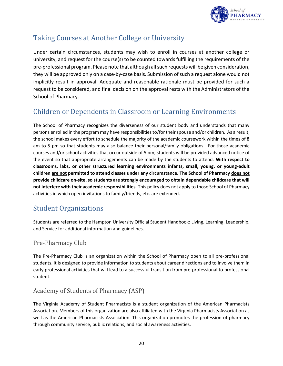

## <span id="page-19-0"></span>Taking Courses at Another College or University

Under certain circumstances, students may wish to enroll in courses at another college or university, and request for the course(s) to be counted towards fulfilling the requirements of the pre-professional program. Please note that although all such requests will be given consideration, they will be approved only on a case-by-case basis. Submission of such a request alone would not implicitly result in approval. Adequate and reasonable rationale must be provided for such a request to be considered, and final decision on the approval rests with the Administrators of the School of Pharmacy.

## <span id="page-19-1"></span>Children or Dependents in Classroom or Learning Environments

The School of Pharmacy recognizes the diverseness of our student body and understands that many persons enrolled in the program may have responsibilities to/for their spouse and/or children. As a result, the school makes every effort to schedule the majority of the academic coursework within the times of 8 am to 5 pm so that students may also balance their personal/family obligations. For those academic courses and/or school activities that occur outside of 5 pm, students will be provided advanced notice of the event so that appropriate arrangements can be made by the students to attend. **With respect to classrooms, labs, or other structured learning environments infants, small, young, or young-adult children are not permitted to attend classes under any circumstance. The School of Pharmacy does not provide childcare on-site, so students are strongly encouraged to obtain dependable childcare that will not interfere with their academic responsibilities.** This policy does not apply to those School of Pharmacy activities in which open invitations to family/friends, etc. are extended.

## <span id="page-19-2"></span>Student Organizations

Students are referred to the Hampton University Official Student Handbook: Living, Learning, Leadership, and Service for additional information and guidelines.

#### <span id="page-19-3"></span>Pre-Pharmacy Club

The Pre-Pharmacy Club is an organization within the School of Pharmacy open to all pre-professional students. It is designed to provide information to students about career directions and to involve them in early professional activities that will lead to a successful transition from pre-professional to professional student.

#### <span id="page-19-4"></span>Academy of Students of Pharmacy (ASP)

The Virginia Academy of Student Pharmacists is a student organization of the American Pharmacists Association. Members of this organization are also affiliated with the Virginia Pharmacists Association as well as the American Pharmacists Association. This organization promotes the profession of pharmacy through community service, public relations, and social awareness activities.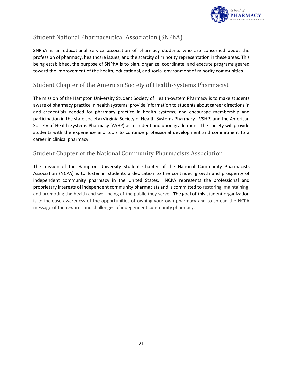

#### <span id="page-20-0"></span>Student National Pharmaceutical Association (SNPhA)

SNPhA is an educational service association of pharmacy students who are concerned about the profession of pharmacy, healthcare issues, and the scarcity of minority representation in these areas. This being established, the purpose of SNPhA is to plan, organize, coordinate, and execute programs geared toward the improvement of the health, educational, and social environment of minority communities.

#### <span id="page-20-1"></span>Student Chapter of the American Society of Health-Systems Pharmacist

The mission of the Hampton University Student Society of Health-System Pharmacy is to make students aware of pharmacy practice in health systems; provide information to students about career directions in and credentials needed for pharmacy practice in health systems; and encourage membership and participation in the state society (Virginia Society of Health-Systems Pharmacy - VSHP) and the American Society of Health-Systems Pharmacy (ASHP) as a student and upon graduation. The society will provide students with the experience and tools to continue professional development and commitment to a career in clinical pharmacy.

#### <span id="page-20-2"></span>Student Chapter of the National Community Pharmacists Association

The mission of the Hampton University Student Chapter of the National Community Pharmacists Association (NCPA) is to foster in students a dedication to the continued growth and prosperity of independent community pharmacy in the United States. NCPA represents the professional and proprietary interests of independent community pharmacists and is committed to restoring, maintaining, and promoting the health and well-being of the public they serve. The goal of this student organization is to increase awareness of the opportunities of owning your own pharmacy and to spread the NCPA message of the rewards and challenges of independent community pharmacy.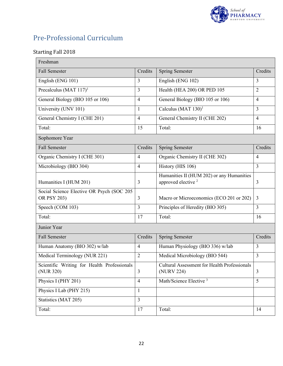

## <span id="page-21-0"></span>Pre-Professional Curriculum

#### Starting Fall 2018

| Freshman                                                 |                |                                                                             |                |
|----------------------------------------------------------|----------------|-----------------------------------------------------------------------------|----------------|
| <b>Fall Semester</b>                                     | Credits        | <b>Spring Semester</b>                                                      | Credits        |
| English (ENG 101)                                        | 3              | English (ENG 102)                                                           | $\overline{3}$ |
| Precalculus (MAT $117$ ) <sup>1</sup>                    | 3              | Health (HEA 200) OR PED 105                                                 | $\overline{2}$ |
| General Biology (BIO 105 or 106)                         | $\overline{4}$ | General Biology (BIO 105 or 106)                                            | $\overline{4}$ |
| University (UNV 101)                                     | $\mathbf{1}$   | Calculus (MAT $130$ ) <sup>1</sup>                                          | 3              |
| General Chemistry I (CHE 201)                            | $\overline{4}$ | General Chemistry II (CHE 202)                                              | $\overline{4}$ |
| Total:                                                   | 15             | Total:                                                                      | 16             |
| Sophomore Year                                           |                |                                                                             |                |
| <b>Fall Semester</b>                                     | Credits        | <b>Spring Semester</b>                                                      | Credits        |
| Organic Chemistry I (CHE 301)                            | $\overline{4}$ | Organic Chemistry II (CHE 302)                                              | $\overline{4}$ |
| Microbiology (BIO 304)                                   | $\overline{4}$ | History (HIS 106)                                                           | $\overline{3}$ |
| Humanities I (HUM 201)                                   | 3              | Humanities II (HUM 202) or any Humanities<br>approved elective <sup>2</sup> | $\overline{3}$ |
| Social Science Elective OR Psych (SOC 205<br>OR PSY 203) | 3              | Macro or Microeconomics (ECO 201 or 202)                                    | 3              |
| Speech (COM 103)                                         | 3              | Principles of Heredity (BIO 305)                                            | $\overline{3}$ |
| Total:                                                   | 17             | Total:                                                                      | 16             |
| Junior Year                                              |                |                                                                             |                |
| <b>Fall Semester</b>                                     | Credits        | <b>Spring Semester</b>                                                      | Credits        |
| Human Anatomy (BIO 302) w/lab                            | $\overline{4}$ | Human Physiology (BIO 336) w/lab                                            | $\overline{3}$ |
| Medical Terminology (NUR 221)                            | $\overline{2}$ | Medical Microbiology (BIO 544)                                              | 3              |
| Scientific Writing for Health Professionals<br>(NUR 320) | $\overline{3}$ | Cultural Assessment for Health Professionals<br>(NURV 224)                  | $\overline{3}$ |
| Physics I (PHY 201)                                      | $\overline{4}$ | Math/Science Elective <sup>3</sup>                                          | 5 <sup>5</sup> |
| Physics I Lab (PHY 215)                                  | $\mathbf{1}$   |                                                                             |                |
| Statistics (MAT 205)                                     | $\overline{3}$ |                                                                             |                |
| Total:                                                   | 17             | Total:                                                                      | 14             |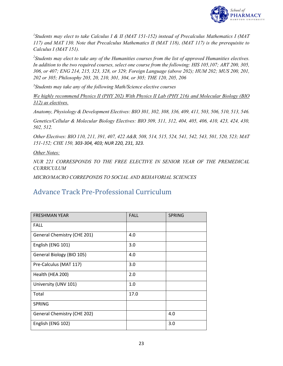

*1 Students may elect to take Calculus I & II (MAT 151-152) instead of Precalculus Mathematics I (MAT 117) and MAT 130. Note that Precalculus Mathematics II (MAT 118), (MAT 117) is the prerequisite to Calculus I (MAT 151).*

*2 Students may elect to take any of the Humanities courses from the list of approved Humanities electives. In addition to the two required courses, select one course from the following: HIS 105,107; ART 200, 305, 306, or 407; ENG 214, 215, 323, 328, or 329; Foreign Language (above 202); HUM 202; MUS 200, 201, 202 or 305; Philosophy 203, 20, 210, 301, 304, or 305; THE 120, 205, 206*

*3 Students may take any of the following Math/Science elective courses*

*We highly recommend Physics II (PHY 202) With Physics II Lab (PHY 216) and Molecular Biology (BIO 312) as electives.*

*Anatomy, Physiology & Development Electives: BIO 301, 302, 308, 336, 409, 411, 503, 506, 510, 513, 546.*

*Genetics/Cellular & Molecular Biology Electives: BIO 309, 311, 312, 404, 405, 406, 410, 423, 424, 430, 502, 512.*

*Other Electives: BIO 110, 211, 391, 407, 422 A&B, 508, 514, 515, 524, 541, 542, 543, 501, 520, 523; MAT 151-152; CHE 150, 303-304, 403; NUR 220, 231, 323.* 

*Other Notes:*

*NUR 221 CORRESPONDS TO THE FREE ELECTIVE IN SENIOR YEAR OF THE PREMEDICAL CURRICULUM*

*MICRO/MACRO CORREPONDS TO SOCIAL AND BEHAVORIAL SCIENCES*

## <span id="page-22-0"></span>Advance Track Pre-Professional Curriculum

| <b>FRESHMAN YEAR</b>        | <b>FALL</b> | <b>SPRING</b> |
|-----------------------------|-------------|---------------|
| <b>FALL</b>                 |             |               |
| General Chemistry (CHE 201) | 4.0         |               |
| English (ENG 101)           | 3.0         |               |
| General Biology (BIO 105)   | 4.0         |               |
| Pre-Calculus (MAT 117)      | 3.0         |               |
| Health (HEA 200)            | 2.0         |               |
| University (UNV 101)        | 1.0         |               |
| Total                       | 17.0        |               |
| <b>SPRING</b>               |             |               |
| General Chemistry (CHE 202) |             | 4.0           |
| English (ENG 102)           |             | 3.0           |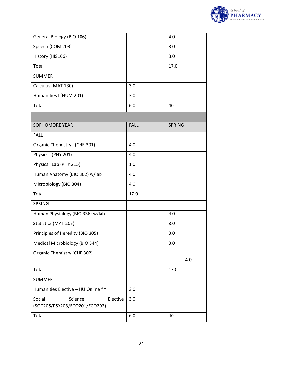

| General Biology (BIO 106)                                      |             | 4.0           |
|----------------------------------------------------------------|-------------|---------------|
| Speech (COM 203)                                               |             | 3.0           |
| History (HIS106)                                               |             | 3.0           |
| Total                                                          |             | 17.0          |
| <b>SUMMER</b>                                                  |             |               |
| Calculus (MAT 130)                                             | 3.0         |               |
| Humanities I (HUM 201)                                         | 3.0         |               |
| Total                                                          | 6.0         | 40            |
|                                                                |             |               |
| <b>SOPHOMORE YEAR</b>                                          | <b>FALL</b> | <b>SPRING</b> |
| <b>FALL</b>                                                    |             |               |
| Organic Chemistry I (CHE 301)                                  | 4.0         |               |
| Physics I (PHY 201)                                            | 4.0         |               |
| Physics I Lab (PHY 215)                                        | 1.0         |               |
| Human Anatomy (BIO 302) w/lab                                  | 4.0         |               |
| Microbiology (BIO 304)                                         | 4.0         |               |
| Total                                                          | 17.0        |               |
| <b>SPRING</b>                                                  |             |               |
| Human Physiology (BIO 336) w/lab                               |             | 4.0           |
| Statistics (MAT 205)                                           |             | 3.0           |
| Principles of Heredity (BIO 305)                               |             | 3.0           |
| Medical Microbiology (BIO 544)                                 |             | 3.0           |
| Organic Chemistry (CHE 302)                                    |             |               |
|                                                                |             | 4.0           |
| Total                                                          |             | 17.0          |
| <b>SUMMER</b>                                                  |             |               |
| Humanities Elective - HU Online **                             | 3.0         |               |
| Social<br>Science<br>Elective<br>(SOC205/PSY203/ECO201/ECO202) | 3.0         |               |
| Total                                                          | 6.0         | 40            |